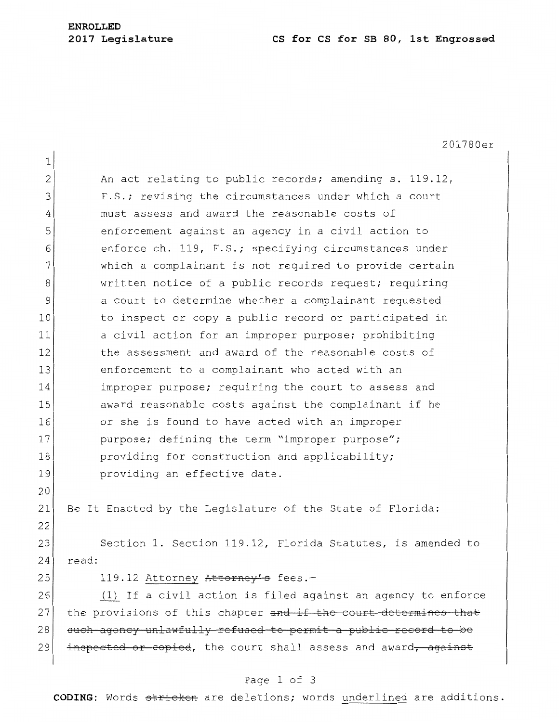## **ENROLLED**

#### **2017 Legislature CS for CS for SB 80, 1st Engrossed**

201780er 1 2 An act relating to public records; amending s. 119.12, 3 F.S.; revising the circumstances under which a court 4 must assess and award the reasonable costs of 5 5 5 5 5 5 6 and one only 10 and 10 and 10 action to 6 6enforce ch. 119, F.S.; specifying circumstances under  $7$  which a complainant is not required to provide certain 8 written notice of a public records request; requiring 9 a court to determine whether a complainant requested 10 to inspect or copy a public record or participated in 11 a civil action for an improper purpose; prohibiting 12 the assessment and award of the reasonable costs of 13 enforcement to a complainant who acted with an 14 improper purpose; requiring the court to assess and 15 award reasonable costs against the complainant if he 16 or she is found to have acted with an improper 17 purpose; defining the term "improper purpose"; 18 **providing for construction and applicability;** 19 **providing an effective date.** 20 21 Be It Enacted by the Legislature of the State of Florida: 22 23 Section 1. Section 119.12, Florida Statutes, is amended to 24 read:  $25$  119.12 Attorney Attorney's fees.-26 1) If a civil action is filed against an agency to enforce 27 the provisions of this chapter and if the court determines that 28 such agency unlawfully refused to permit a public record to be 29 inspected or copied, the court shall assess and award, against

#### Page 1 of 3

**CODING:** Words stricken are deletions; words underlined are additions.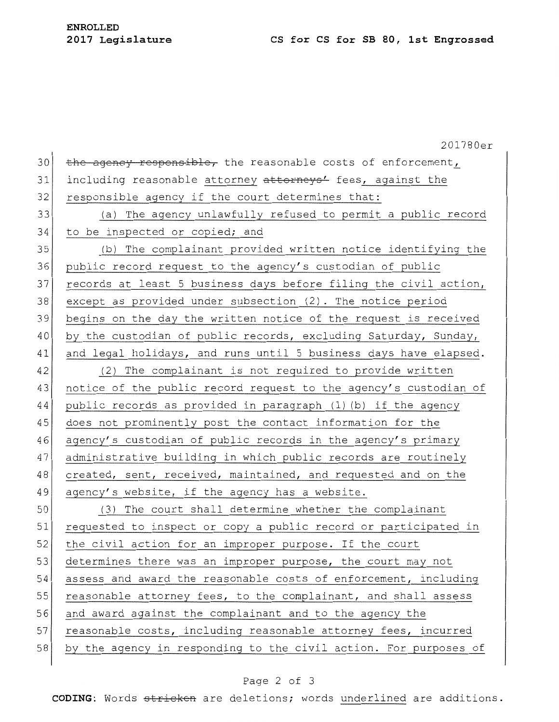# **ENROLLED**

|    | 201780er                                                         |
|----|------------------------------------------------------------------|
| 30 | the agency responsible, the reasonable costs of enforcement,     |
| 31 | including reasonable attorney attorneys' fees, against the       |
| 32 | responsible agency if the court determines that:                 |
| 33 | (a) The agency unlawfully refused to permit a public record      |
| 34 | to be inspected or copied; and                                   |
| 35 | (b) The complainant provided written notice identifying the      |
| 36 | public record request to the agency's custodian of public        |
| 37 | records at least 5 business days before filing the civil action, |
| 38 | except as provided under subsection (2). The notice period       |
| 39 | begins on the day the written notice of the request is received  |
| 40 | by the custodian of public records, excluding Saturday, Sunday,  |
| 41 | and legal holidays, and runs until 5 business days have elapsed. |
| 42 | (2) The complainant is not required to provide written           |
| 43 | notice of the public record request to the agency's custodian of |
| 44 | public records as provided in paragraph (1)(b) if the agency     |
| 45 | does not prominently post the contact information for the        |
| 46 | agency's custodian of public records in the agency's primary     |
| 47 | administrative building in which public records are routinely    |
| 48 | created, sent, received, maintained, and requested and on the    |
| 49 | agency's website, if the agency has a website.                   |
| 50 | (3) The court shall determine whether the complainant            |
| 51 | requested to inspect or copy a public record or participated in  |
| 52 | the civil action for an improper purpose. If the court           |
| 53 | determines there was an improper purpose, the court may not      |
| 54 | assess and award the reasonable costs of enforcement, including  |
| 55 | reasonable attorney fees, to the complainant, and shall assess   |
| 56 | and award against the complainant and to the agency the          |
| 57 | reasonable costs, including reasonable attorney fees, incurred   |
| 58 | by the agency in responding to the civil action. For purposes of |

## Page 2 of 3

**CODING:** Words stricken are deletions; words underlined are additions.